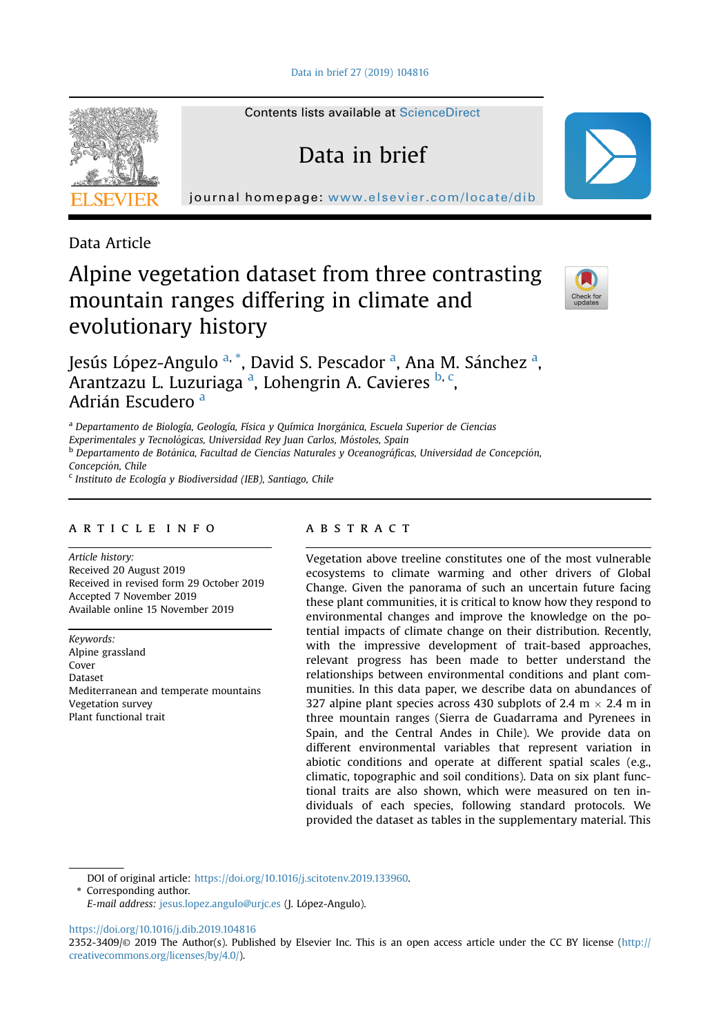[Data in brief 27 \(2019\) 104816](https://doi.org/10.1016/j.dib.2019.104816)

Contents lists available at [ScienceDirect](www.sciencedirect.com/science/journal/23523409)

Data in brief

journal homepage: <www.elsevier.com/locate/dib>



Data Article

# Alpine vegetation dataset from three contrasting mountain ranges differing in climate and evolutionary history



Jesús López-Angulo <sup>a, \*</sup>, David S. Pescador <sup>a</sup>, Ana M. Sánchez <sup>a</sup>, Arantzazu L. Luzuriaga <sup>a</sup>, Lohengrin A. Cavieres <sup>b, c</sup>, Adrián Escudero<sup>a</sup>

<sup>a</sup> Departamento de Biología, Geología, Física y Química Inorganica, Escuela Superior de Ciencias Experimentales y Tecnológicas, Universidad Rey Juan Carlos, Móstoles, Spain

<sup>b</sup> Departamento de Botánica, Facultad de Ciencias Naturales y Oceanográficas, Universidad de Concepción, Concepcion, Chile

<sup>c</sup> Instituto de Ecología y Biodiversidad (IEB), Santiago, Chile

#### article info

Article history: Received 20 August 2019 Received in revised form 29 October 2019 Accepted 7 November 2019 Available online 15 November 2019

Keywords: Alpine grassland Cover Dataset Mediterranean and temperate mountains Vegetation survey Plant functional trait

## **ABSTRACT**

Vegetation above treeline constitutes one of the most vulnerable ecosystems to climate warming and other drivers of Global Change. Given the panorama of such an uncertain future facing these plant communities, it is critical to know how they respond to environmental changes and improve the knowledge on the potential impacts of climate change on their distribution. Recently, with the impressive development of trait-based approaches, relevant progress has been made to better understand the relationships between environmental conditions and plant communities. In this data paper, we describe data on abundances of 327 alpine plant species across 430 subplots of 2.4 m  $\times$  2.4 m in three mountain ranges (Sierra de Guadarrama and Pyrenees in Spain, and the Central Andes in Chile). We provide data on different environmental variables that represent variation in abiotic conditions and operate at different spatial scales (e.g., climatic, topographic and soil conditions). Data on six plant functional traits are also shown, which were measured on ten individuals of each species, following standard protocols. We provided the dataset as tables in the supplementary material. This

DOI of original article: <https://doi.org/10.1016/j.scitotenv.2019.133960>.

\* Corresponding author.

E-mail address: [jesus.lopez.angulo@urjc.es](mailto:jesus.lopez.angulo@urjc.es) (J. Lopez-Angulo).

<https://doi.org/10.1016/j.dib.2019.104816>

<sup>2352-3409/</sup>© 2019 The Author(s). Published by Elsevier Inc. This is an open access article under the CC BY license ([http://](http://creativecommons.org/licenses/by/4.0/) [creativecommons.org/licenses/by/4.0/](http://creativecommons.org/licenses/by/4.0/)).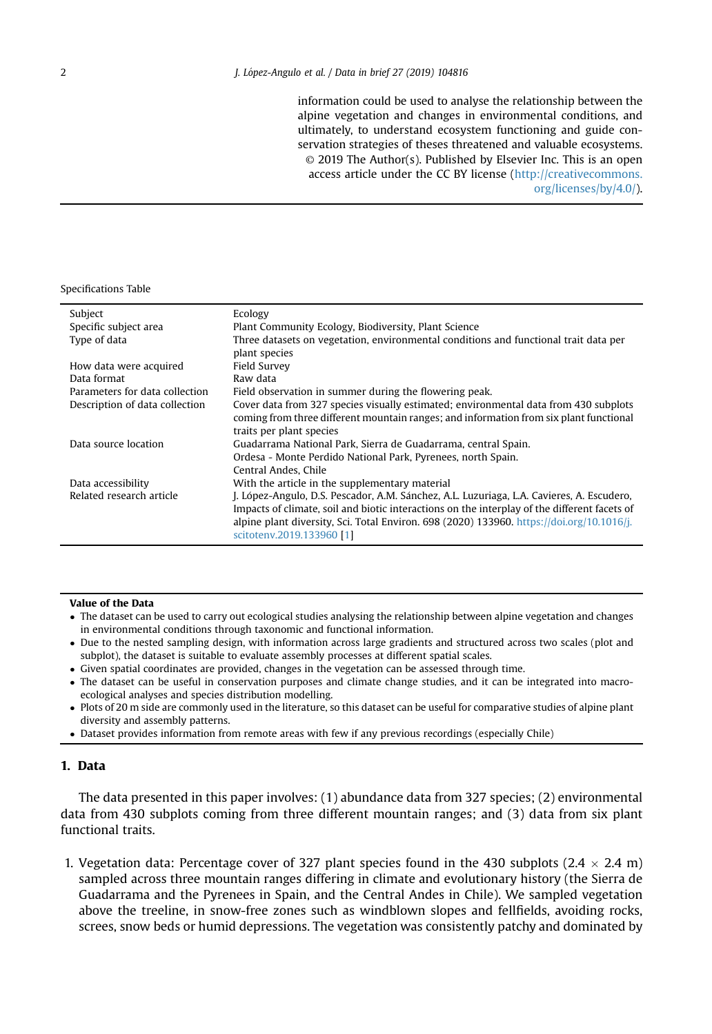information could be used to analyse the relationship between the alpine vegetation and changes in environmental conditions, and ultimately, to understand ecosystem functioning and guide conservation strategies of theses threatened and valuable ecosystems. © 2019 The Author(s). Published by Elsevier Inc. This is an open access article under the CC BY license [\(http://creativecommons.](http://creativecommons.org/licenses/by/4.0/) [org/licenses/by/4.0/\)](http://creativecommons.org/licenses/by/4.0/).

Specifications Table

| Subject                        | Ecology                                                                                      |
|--------------------------------|----------------------------------------------------------------------------------------------|
| Specific subject area          | Plant Community Ecology, Biodiversity, Plant Science                                         |
| Type of data                   | Three datasets on vegetation, environmental conditions and functional trait data per         |
|                                | plant species                                                                                |
| How data were acquired         | Field Survey                                                                                 |
| Data format                    | Raw data                                                                                     |
| Parameters for data collection | Field observation in summer during the flowering peak.                                       |
| Description of data collection | Cover data from 327 species visually estimated; environmental data from 430 subplots         |
|                                | coming from three different mountain ranges; and information from six plant functional       |
|                                | traits per plant species                                                                     |
| Data source location           | Guadarrama National Park, Sierra de Guadarrama, central Spain.                               |
|                                | Ordesa - Monte Perdido National Park, Pyrenees, north Spain,                                 |
|                                | Central Andes, Chile                                                                         |
| Data accessibility             | With the article in the supplementary material                                               |
| Related research article       | J. López-Angulo, D.S. Pescador, A.M. Sánchez, A.L. Luzuriaga, L.A. Cavieres, A. Escudero,    |
|                                | Impacts of climate, soil and biotic interactions on the interplay of the different facets of |
|                                | alpine plant diversity, Sci. Total Environ. 698 (2020) 133960. https://doi.org/10.1016/j.    |
|                                | scitotenv.2019.133960 [1]                                                                    |

#### Value of the Data

- The dataset can be used to carry out ecological studies analysing the relationship between alpine vegetation and changes in environmental conditions through taxonomic and functional information.
- Due to the nested sampling design, with information across large gradients and structured across two scales (plot and subplot), the dataset is suitable to evaluate assembly processes at different spatial scales.
- Given spatial coordinates are provided, changes in the vegetation can be assessed through time.
- The dataset can be useful in conservation purposes and climate change studies, and it can be integrated into macroecological analyses and species distribution modelling.
- Plots of 20 m side are commonly used in the literature, so this dataset can be useful for comparative studies of alpine plant diversity and assembly patterns.
- Dataset provides information from remote areas with few if any previous recordings (especially Chile)

#### 1. Data

The data presented in this paper involves: (1) abundance data from 327 species; (2) environmental data from 430 subplots coming from three different mountain ranges; and (3) data from six plant functional traits.

1. Vegetation data: Percentage cover of 327 plant species found in the 430 subplots (2.4  $\times$  2.4 m) sampled across three mountain ranges differing in climate and evolutionary history (the Sierra de Guadarrama and the Pyrenees in Spain, and the Central Andes in Chile). We sampled vegetation above the treeline, in snow-free zones such as windblown slopes and fellfields, avoiding rocks, screes, snow beds or humid depressions. The vegetation was consistently patchy and dominated by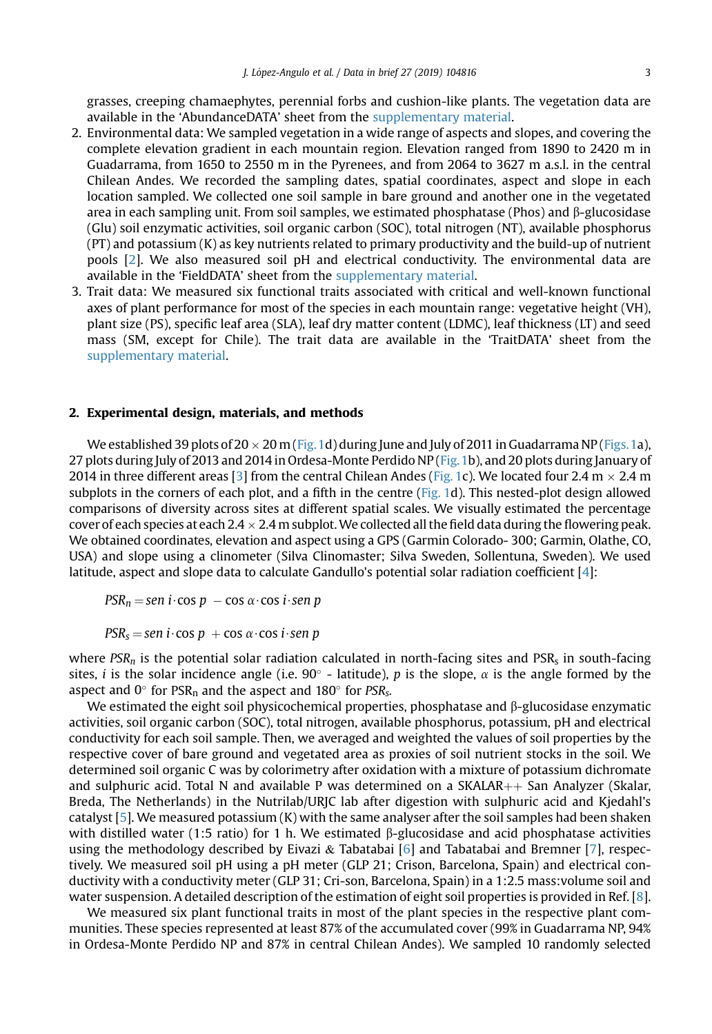grasses, creeping chamaephytes, perennial forbs and cushion-like plants. The vegetation data are available in the 'AbundanceDATA' sheet from the supplementary material.

- 2. Environmental data: We sampled vegetation in a wide range of aspects and slopes, and covering the complete elevation gradient in each mountain region. Elevation ranged from 1890 to 2420 m in Guadarrama, from 1650 to 2550 m in the Pyrenees, and from 2064 to 3627 m a.s.l. in the central Chilean Andes. We recorded the sampling dates, spatial coordinates, aspect and slope in each location sampled. We collected one soil sample in bare ground and another one in the vegetated area in each sampling unit. From soil samples, we estimated phosphatase (Phos) and  $\beta$ -glucosidase (Glu) soil enzymatic activities, soil organic carbon (SOC), total nitrogen (NT), available phosphorus (PT) and potassium (K) as key nutrients related to primary productivity and the build-up of nutrient pools [[2](#page-4-0)]. We also measured soil pH and electrical conductivity. The environmental data are available in the 'FieldDATA' sheet from the supplementary material.
- 3. Trait data: We measured six functional traits associated with critical and well-known functional axes of plant performance for most of the species in each mountain range: vegetative height (VH), plant size (PS), specific leaf area (SLA), leaf dry matter content (LDMC), leaf thickness (LT) and seed mass (SM, except for Chile). The trait data are available in the 'TraitDATA' sheet from the supplementary material.

#### 2. Experimental design, materials, and methods

We established 39 plots of  $20 \times 20$  m (Fig. 1d) during June and July of 2011 in Guadarrama NP (Figs. 1a), 27 plots during July of 2013 and 2014 in Ordesa-Monte Perdido NP [\(Fig.1b](#page-3-0)), and 20 plots during January of 2014 in three different areas [\[3\]](#page-4-0) from the central Chilean Andes [\(Fig. 1c](#page-3-0)). We located four 2.4 m  $\times$  2.4 m subplots in the corners of each plot, and a fifth in the centre ([Fig. 1](#page-3-0)d). This nested-plot design allowed comparisons of diversity across sites at different spatial scales. We visually estimated the percentage cover of each species at each  $2.4 \times 2.4$  m subplot. We collected all the field data during the flowering peak. We obtained coordinates, elevation and aspect using a GPS (Garmin Colorado- 300; Garmin, Olathe, CO, USA) and slope using a clinometer (Silva Clinomaster; Silva Sweden, Sollentuna, Sweden). We used latitude, aspect and slope data to calculate Gandullo's potential solar radiation coefficient [[4](#page-4-0)]:

 $PSR_n =$ sen i $\cdot$ cos p  $-$ cos  $\alpha \cdot$ cos i $\cdot$ sen p

 $PSR_s =$ sen i $\cdot$ cos p + cos  $\alpha \cdot$ cos i $\cdot$ sen p

where  $PSR_n$  is the potential solar radiation calculated in north-facing sites and  $PSR_s$  in south-facing sites, *i* is the solar incidence angle (i.e.  $90^{\circ}$  - latitude), *p* is the slope,  $\alpha$  is the angle formed by the aspect and  $0^{\circ}$  for PSR<sub>n</sub> and the aspect and 180 $^{\circ}$  for PSR<sub>s</sub>.

We estimated the eight soil physicochemical properties, phosphatase and  $\beta$ -glucosidase enzymatic activities, soil organic carbon (SOC), total nitrogen, available phosphorus, potassium, pH and electrical conductivity for each soil sample. Then, we averaged and weighted the values of soil properties by the respective cover of bare ground and vegetated area as proxies of soil nutrient stocks in the soil. We determined soil organic C was by colorimetry after oxidation with a mixture of potassium dichromate and sulphuric acid. Total N and available P was determined on a SKALAR $++$  San Analyzer (Skalar, Breda, The Netherlands) in the Nutrilab/URJC lab after digestion with sulphuric acid and Kjedahl's catalyst  $[5]$  $[5]$  $[5]$ . We measured potassium  $(K)$  with the same analyser after the soil samples had been shaken with distilled water (1:5 ratio) for 1 h. We estimated B-glucosidase and acid phosphatase activities using the methodology described by Eivazi & Tabatabai [\[6\]](#page-4-0) and Tabatabai and Bremner [[7](#page-4-0)], respectively. We measured soil pH using a pH meter (GLP 21; Crison, Barcelona, Spain) and electrical conductivity with a conductivity meter (GLP 31; Cri-son, Barcelona, Spain) in a 1:2.5 mass:volume soil and water suspension. A detailed description of the estimation of eight soil properties is provided in Ref. [\[8](#page-4-0)].

We measured six plant functional traits in most of the plant species in the respective plant communities. These species represented at least 87% of the accumulated cover (99% in Guadarrama NP, 94% in Ordesa-Monte Perdido NP and 87% in central Chilean Andes). We sampled 10 randomly selected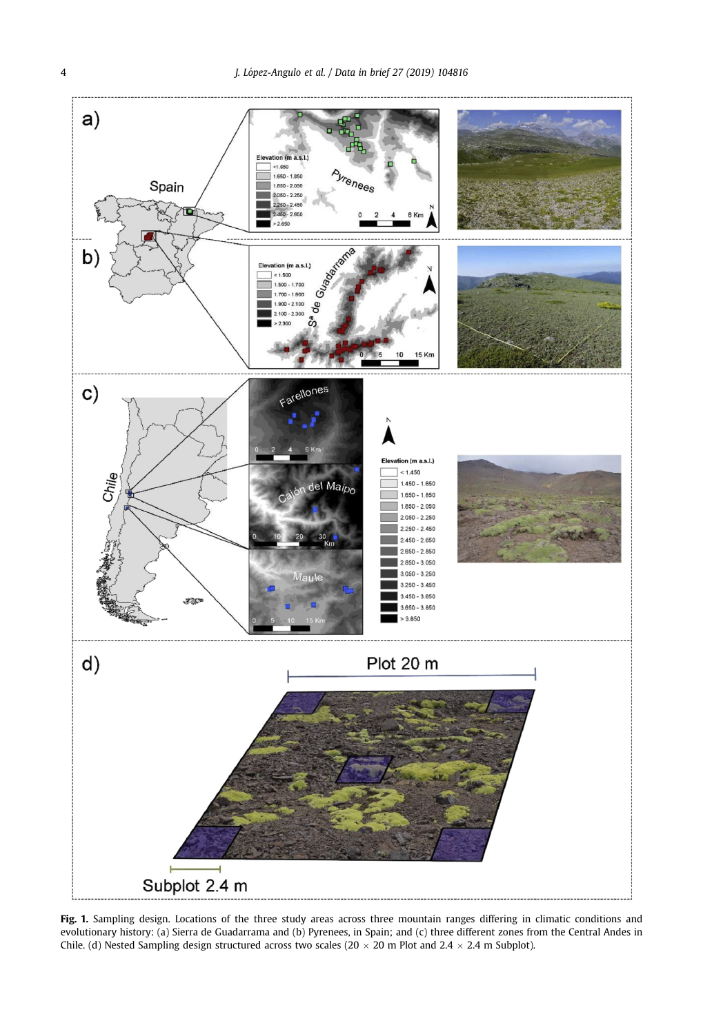<span id="page-3-0"></span>

Fig. 1. Sampling design. Locations of the three study areas across three mountain ranges differing in climatic conditions and evolutionary history: (a) Sierra de Guadarrama and (b) Pyrenees, in Spain; and (c) three different zones from the Central Andes in Chile. (d) Nested Sampling design structured across two scales (20  $\times$  20 m Plot and 2.4  $\times$  2.4 m Subplot).